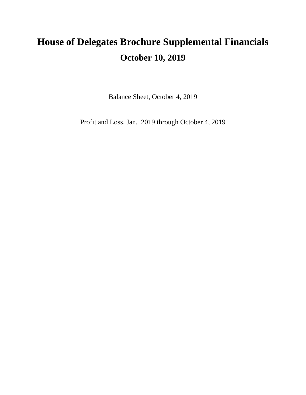# **House of Delegates Brochure Supplemental Financials October 10, 2019**

Balance Sheet, October 4, 2019

Profit and Loss, Jan. 2019 through October 4, 2019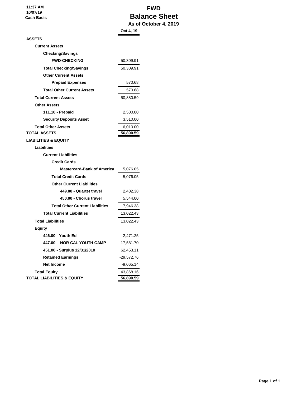**11:37 AM 10/07/19 Cash Basis**

## **FWD Balance Sheet As of October 4, 2019**

|                                        | Oct 4, 19    |
|----------------------------------------|--------------|
| <b>ASSETS</b>                          |              |
| <b>Current Assets</b>                  |              |
| <b>Checking/Savings</b>                |              |
| <b>FWD-CHECKING</b>                    | 50,309.91    |
| <b>Total Checking/Savings</b>          | 50,309.91    |
| <b>Other Current Assets</b>            |              |
| <b>Prepaid Expenses</b>                | 570.68       |
| <b>Total Other Current Assets</b>      | 570.68       |
| <b>Total Current Assets</b>            | 50,880.59    |
| <b>Other Assets</b>                    |              |
| 111.10 - Prepaid                       | 2,500.00     |
| <b>Security Deposits Asset</b>         | 3,510.00     |
| <b>Total Other Assets</b>              | 6,010.00     |
| <b>TOTAL ASSETS</b>                    | 56,890.59    |
| <b>LIABILITIES &amp; EQUITY</b>        |              |
| <b>Liabilities</b>                     |              |
| <b>Current Liabilities</b>             |              |
| <b>Credit Cards</b>                    |              |
| <b>Mastercard-Bank of America</b>      | 5,076.05     |
| <b>Total Credit Cards</b>              | 5,076.05     |
| <b>Other Current Liabilities</b>       |              |
| 449.00 - Quartet travel                | 2,402.38     |
| 450.00 - Chorus travel                 | 5,544.00     |
| <b>Total Other Current Liabilities</b> | 7,946.38     |
| <b>Total Current Liabilities</b>       | 13,022.43    |
| <b>Total Liabilities</b>               | 13,022.43    |
| <b>Equity</b>                          |              |
| 446.00 - Youth Ed                      | 2,471.25     |
| 447.00 - NOR CAL YOUTH CAMP            | 17,581.70    |
| 451.00 - Surplus 12/31/2010            | 62,453.11    |
| <b>Retained Earnings</b>               | $-29,572.76$ |
| <b>Net Income</b>                      | $-9,065.14$  |
| <b>Total Equity</b>                    | 43,868.16    |
| TOTAL LIABILITIES & EQUITY             | 56,890.59    |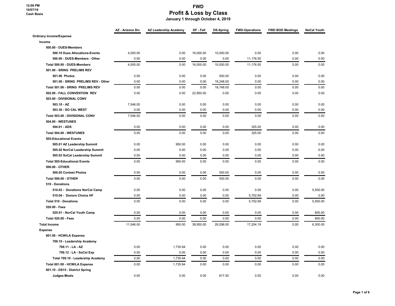|                                     | AZ - Arizona Div | <b>AZ Leadership Academy</b> | DF - Fall | DS-Spring | <b>FWD-Operations</b> | <b>FWD BOD Meetings</b> | <b>NoCal Youth</b> |
|-------------------------------------|------------------|------------------------------|-----------|-----------|-----------------------|-------------------------|--------------------|
| <b>Ordinary Income/Expense</b>      |                  |                              |           |           |                       |                         |                    |
| Income                              |                  |                              |           |           |                       |                         |                    |
| 500.00 - DUES-Members               |                  |                              |           |           |                       |                         |                    |
| 500.10 Dues Allocations-Events      | 4,000.00         | 0.00                         | 16,000.00 | 10,000.00 | 0.00                  | 0.00                    | 0.00               |
| 500.00 - DUES-Members - Other       | 0.00             | 0.00                         | 0.00      | 0.00      | 11,176.50             | 0.00                    | 0.00               |
| Total 500.00 - DUES-Members         | 4,000.00         | 0.00                         | 16,000.00 | 10,000.00 | 11,176.50             | 0.00                    | 0.00               |
| 501.00 - SRING PRELIMS REV          |                  |                              |           |           |                       |                         |                    |
| 501.06 Photos                       | 0.00             | 0.00                         | 0.00      | 500.00    | 0.00                  | 0.00                    | 0.00               |
| 501.00 - SRING PRELIMS REV - Other  | 0.00             | 0.00                         | 0.00      | 18,248.00 | 0.00                  | 0.00                    | 0.00               |
| Total 501.00 - SRING PRELIMS REV    | 0.00             | 0.00                         | 0.00      | 18,748.00 | 0.00                  | 0.00                    | 0.00               |
| 502.00 - FALL CONVENTION REV        | 0.00             | 0.00                         | 22,950.00 | 0.00      | 0.00                  | 0.00                    | 0.00               |
| 503.00 - DIVISIONAL CONV            |                  |                              |           |           |                       |                         |                    |
| $503.10 - AZ$                       | 7,546.00         | 0.00                         | 0.00      | 0.00      | 0.00                  | 0.00                    | 0.00               |
| 503.30 - SO CAL WEST                | 0.00             | 0.00                         | 0.00      | 0.00      | 0.00                  | 0.00                    | 0.00               |
| Total 503.00 - DIVISIONAL CONV      | 7,546.00         | 0.00                         | 0.00      | 0.00      | 0.00                  | 0.00                    | 0.00               |
| <b>504.00 - WESTUNES</b>            |                  |                              |           |           |                       |                         |                    |
| 504.01 - ADS                        | 0.00             | 0.00                         | 0.00      | 0.00      | 325.00                | 0.00                    | 0.00               |
| Total 504.00 - WESTUNES             | 0.00             | 0.00                         | 0.00      | 0.00      | 325.00                | 0.00                    | 0.00               |
| 505-Educational Events              |                  |                              |           |           |                       |                         |                    |
| 505.01 AZ Leadership Summit         | 0.00             | 950.00                       | 0.00      | 0.00      | 0.00                  | 0.00                    | 0.00               |
| 505.02 NorCal Leadership Summit     | 0.00             | 0.00                         | 0.00      | 0.00      | 0.00                  | 0.00                    | 0.00               |
| 505.03 SoCal Leadership Summit      | 0.00             | 0.00                         | 0.00      | 0.00      | 0.00                  | 0.00                    | 0.00               |
| <b>Total 505-Educational Events</b> | 0.00             | 950.00                       | 0.00      | 0.00      | 0.00                  | 0.00                    | 0.00               |
| 506.00 - OTHER                      |                  |                              |           |           |                       |                         |                    |
| 506.05 Contest Photos               | 0.00             | 0.00                         | 0.00      | 550.00    | 0.00                  | 0.00                    | 0.00               |
| <b>Total 506.00 - OTHER</b>         | 0.00             | 0.00                         | 0.00      | 550.00    | 0.00                  | 0.00                    | 0.00               |
| 510 - Donations                     |                  |                              |           |           |                       |                         |                    |
| 510.03 - Donations NorCal Camp      | 0.00             | 0.00                         | 0.00      | 0.00      | 0.00                  | 0.00                    | 5,500.00           |
| 510.04 - Donors Choice HF           | 0.00             | 0.00                         | 0.00      | 0.00      | 5,702.69              | 0.00                    | 0.00               |
| <b>Total 510 - Donations</b>        | 0.00             | 0.00                         | 0.00      | 0.00      | 5,702.69              | 0.00                    | 5,500.00           |
| 520.00 - Fees                       |                  |                              |           |           |                       |                         |                    |
| 520.01 - NorCal Youth Camp          | 0.00             | 0.00                         | 0.00      | 0.00      | 0.00                  | 0.00                    | 800.00             |
| <b>Total 520.00 - Fees</b>          | 0.00             | 0.00                         | 0.00      | 0.00      | 0.00                  | 0.00                    | 800.00             |
| <b>Total Income</b>                 | 11,546.00        | 950.00                       | 38,950.00 | 29,298.00 | 17,204.19             | 0.00                    | 6,300.00           |
| <b>Expense</b>                      |                  |                              |           |           |                       |                         |                    |
| 601.00 - HCW/LA Expense             |                  |                              |           |           |                       |                         |                    |
| 709.10 - Leadership Academy         |                  |                              |           |           |                       |                         |                    |
| 709.11 - LA - AZ                    | 0.00             | 1,735.94                     | 0.00      | 0.00      | 0.00                  | 0.00                    | 0.00               |
| 709.12 - LA - SoCal Exp             | 0.00             | 0.00                         | 0.00      | 0.00      | 0.00                  | 0.00                    | 0.00               |
| Total 709.10 - Leadership Academy   | 0.00             | 1,735.94                     | 0.00      | 0.00      | 0.00                  | 0.00                    | 0.00               |
| Total 601.00 - HCW/LA Expense       | 0.00             | 1,735.94                     | 0.00      | 0.00      | 0.00                  | 0.00                    | 0.00               |
| 601.10 - DS15 - District Spring     |                  |                              |           |           |                       |                         |                    |
| Judges-Meals                        | 0.00             | 0.00                         | 0.00      | 817.50    | 0.00                  | 0.00                    | 0.00               |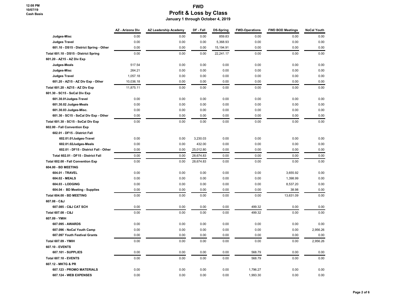|                                         | AZ - Arizona Div | AZ Leadership Academy | DF - Fall | <b>DS-Spring</b> | <b>FWD-Operations</b> | <b>FWD BOD Meetings</b> | <b>NoCal Youth</b> |
|-----------------------------------------|------------------|-----------------------|-----------|------------------|-----------------------|-------------------------|--------------------|
| Judges-Misc                             | 0.00             | 0.00                  | 0.00      | 859.83           | 0.00                  | 0.00                    | 0.00               |
| <b>Judges Travel</b>                    | 0.00             | 0.00                  | 0.00      | 5,368.93         | 0.00                  | 0.00                    | 0.00               |
| 601.10 - DS15 - District Spring - Other | 0.00             | 0.00                  | 0.00      | 15,194.91        | 0.00                  | 0.00                    | 0.00               |
| Total 601.10 - DS15 - District Spring   | 0.00             | 0.00                  | 0.00      | 22,241.17        | 0.00                  | 0.00                    | 0.00               |
| 601.20 - AZ15 - AZ Div Exp              |                  |                       |           |                  |                       |                         |                    |
| Judges-Meals                            | 517.54           | 0.00                  | 0.00      | 0.00             | 0.00                  | 0.00                    | 0.00               |
| Judges-Misc                             | 264.21           | 0.00                  | 0.00      | 0.00             | 0.00                  | 0.00                    | 0.00               |
| <b>Judges Travel</b>                    | 1,057.18         | 0.00                  | 0.00      | 0.00             | 0.00                  | 0.00                    | 0.00               |
| 601.20 - AZ15 - AZ Div Exp - Other      | 10,036.18        | 0.00                  | 0.00      | 0.00             | 0.00                  | 0.00                    | 0.00               |
| Total 601.20 - AZ15 - AZ Div Exp        | 11,875.11        | 0.00                  | 0.00      | 0.00             | 0.00                  | 0.00                    | 0.00               |
| 601.30 - SC15 - SoCal Div Exp           |                  |                       |           |                  |                       |                         |                    |
| 601.30.01Judges-Travel                  | 0.00             | 0.00                  | 0.00      | 0.00             | 0.00                  | 0.00                    | 0.00               |
| 601.30.02 Judges-Meals                  | 0.00             | 0.00                  | 0.00      | 0.00             | 0.00                  | 0.00                    | 0.00               |
| 601.30.03 Judges-Misc.                  | 0.00             | 0.00                  | 0.00      | 0.00             | 0.00                  | 0.00                    | 0.00               |
| 601.30 - SC15 - SoCal Div Exp - Other   | 0.00             | 0.00                  | 0.00      | 0.00             | 0.00                  | 0.00                    | 0.00               |
| Total 601.30 - SC15 - SoCal Div Exp     | 0.00             | 0.00                  | 0.00      | 0.00             | 0.00                  | 0.00                    | 0.00               |
| 602.00 - Fall Convention Exp            |                  |                       |           |                  |                       |                         |                    |
| 602.01 - DF15 - District Fall           |                  |                       |           |                  |                       |                         |                    |
| 602.01.01Judges-Travel                  | 0.00             | 0.00                  | 3,230.03  | 0.00             | 0.00                  | 0.00                    | 0.00               |
| 602.01.02Judges-Meals                   | 0.00             | 0.00                  | 432.00    | 0.00             | 0.00                  | 0.00                    | 0.00               |
| 602.01 - DF15 - District Fall - Other   | 0.00             | 0.00                  | 25,012.80 | 0.00             | 0.00                  | 0.00                    | 0.00               |
| Total 602.01 - DF15 - District Fall     | 0.00             | 0.00                  | 28,674.83 | 0.00             | 0.00                  | 0.00                    | 0.00               |
| Total 602.00 - Fall Convention Exp      | 0.00             | 0.00                  | 28,674.83 | 0.00             | 0.00                  | 0.00                    | 0.00               |
| 604.00 - BD MEETING                     |                  |                       |           |                  |                       |                         |                    |
| 604.01 - TRAVEL                         | 0.00             | 0.00                  | 0.00      | 0.00             | 0.00                  | 3,655.92                | 0.00               |
| 604.02 - MEALS                          | 0.00             | 0.00                  | 0.00      | 0.00             | 0.00                  | 1,398.99                | 0.00               |
| 604.03 - LODGING                        | 0.00             | 0.00                  | 0.00      | 0.00             | 0.00                  | 8,537.20                | 0.00               |
| 604.04 - BD Meeting - Supplies          | 0.00             | 0.00                  | 0.00      | 0.00             | 0.00                  | 38.98                   | 0.00               |
| Total 604.00 - BD MEETING               | 0.00             | 0.00                  | 0.00      | 0.00             | 0.00                  | 13,631.09               | 0.00               |
| 607.08 - C&J                            |                  |                       |           |                  |                       |                         |                    |
| 607.085 - C&J CAT SCH                   | 0.00             | 0.00                  | 0.00      | 0.00             | 499.32                | 0.00                    | 0.00               |
| Total 607.08 - C&J                      | 0.00             | 0.00                  | 0.00      | 0.00             | 499.32                | 0.00                    | 0.00               |
| 607.09 - YMIH                           |                  |                       |           |                  |                       |                         |                    |
| 607.095 - AWARDS                        | 0.00             | 0.00                  | 0.00      | 0.00             | 0.00                  | 0.00                    | 0.00               |
| 607.096 - NoCal Youth Camp              | 0.00             | 0.00                  | 0.00      | 0.00             | 0.00                  | 0.00                    | 2,956.26           |
| 607.097 Youth Festival Grants           | 0.00             | 0.00                  | 0.00      | 0.00             | 0.00                  | 0.00                    | 0.00               |
| <b>Total 607.09 - YMIH</b>              | 0.00             | 0.00                  | 0.00      | 0.00             | 0.00                  | 0.00                    | 2,956.26           |
| 607.10 - EVENTS                         |                  |                       |           |                  |                       |                         |                    |
| 607.101 - SUPPLIES                      | 0.00             | 0.00                  | 0.00      | 0.00             | 568.79                | 0.00                    | 0.00               |
| Total 607.10 - EVENTS                   | 0.00             | 0.00                  | 0.00      | 0.00             | 568.79                | 0.00                    | 0.00               |
| 607.12 - MKTG & PR                      |                  |                       |           |                  |                       |                         |                    |
| 607.123 - PROMO MATERIALS               | 0.00             | 0.00                  | 0.00      | 0.00             | 1,796.27              | 0.00                    | 0.00               |
| 607.124 - WEB EXPENSES                  | 0.00             | 0.00                  | 0.00      | 0.00             | 1,993.30              | 0.00                    | 0.00               |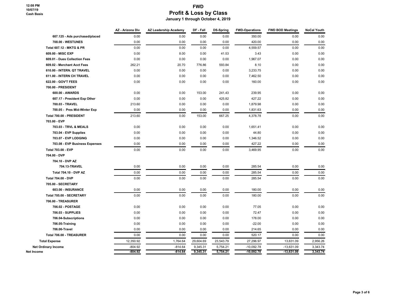|                                     | AZ - Arizona Div | AZ Leadership Academy | DF - Fall | <b>DS-Spring</b> | <b>FWD-Operations</b> | <b>FWD BOD Meetings</b> | <b>NoCal Youth</b> |
|-------------------------------------|------------------|-----------------------|-----------|------------------|-----------------------|-------------------------|--------------------|
| 607.125 - Ads purchased/placed      | 0.00             | 0.00                  | 0.00      | 0.00             | 350.00                | 0.00                    | 0.00               |
| 708.00 - WESTUNES                   | 0.00             | 0.00                  | 0.00      | 0.00             | 420.00                | 0.00                    | 0.00               |
| <b>Total 607.12 - MKTG &amp; PR</b> | 0.00             | 0.00                  | 0.00      | 0.00             | 4,559.57              | 0.00                    | 0.00               |
| 609.00 - MISC EXP                   | 0.00             | 8.00                  | 0.00      | 41.53            | 3.43                  | 0.00                    | 0.00               |
| 609.01 - Dues Collection Fees       | 0.00             | 0.00                  | 0.00      | 0.00             | 1,967.07              | 0.00                    | 0.00               |
| 609.02 - Merchant Acct Fees         | 262.21           | 20.70                 | 776.86    | 593.84           | 8.10                  | 0.00                    | 0.00               |
| 610.00 - INTERN. QT TRAVEL          | 0.00             | 0.00                  | 0.00      | 0.00             | 3,233.75              | 0.00                    | 0.00               |
| 611.00 - INTERN CH TRAVEL           | 0.00             | 0.00                  | 0.00      | 0.00             | 7,462.50              | 0.00                    | 0.00               |
| 622.00 - GOV'T FEES                 | 0.00             | 0.00                  | 0.00      | 0.00             | 160.00                | 0.00                    | 0.00               |
| 700.00 - PRESIDENT                  |                  |                       |           |                  |                       |                         |                    |
| 600.00 - AWARDS                     | 0.00             | 0.00                  | 153.00    | 241.43           | 239.95                | 0.00                    | 0.00               |
| 607.17 - President Exp Other        | 0.00             | 0.00                  | 0.00      | 425.82           | 427.22                | 0.00                    | 0.00               |
| 700.03 - TRAVEL                     | 213.60           | 0.00                  | 0.00      | 0.00             | 1,879.98              | 0.00                    | 0.00               |
| 700.05 - Pres Mid-Winter Exp        | 0.00             | 0.00                  | 0.00      | 0.00             | 1,831.63              | 0.00                    | 0.00               |
| Total 700.00 - PRESIDENT            | 213.60           | 0.00                  | 153.00    | 667.25           | 4,378.78              | 0.00                    | 0.00               |
| 703.00 - EVP                        |                  |                       |           |                  |                       |                         |                    |
| 703.03 - TRVL & MEALS               | 0.00             | 0.00                  | 0.00      | 0.00             | 1,651.41              | 0.00                    | 0.00               |
| 703.04 - EVP Supplies               | 0.00             | 0.00                  | 0.00      | 0.00             | 44.80                 | 0.00                    | 0.00               |
| 703.07 - EVP LODGING                | 0.00             | 0.00                  | 0.00      | 0.00             | 1,346.52              | 0.00                    | 0.00               |
| 703.08 - EVP Business Expenses      | 0.00             | 0.00                  | 0.00      | 0.00             | 427.22                | 0.00                    | 0.00               |
| <b>Total 703.00 - EVP</b>           | 0.00             | 0.00                  | 0.00      | 0.00             | 3,469.95              | 0.00                    | 0.00               |
| 704.00 - DVP                        |                  |                       |           |                  |                       |                         |                    |
| 704.10 - DVP AZ                     |                  |                       |           |                  |                       |                         |                    |
| 704.13-TRAVEL                       | 0.00             | 0.00                  | 0.00      | 0.00             | 285.54                | 0.00                    | 0.00               |
| <b>Total 704.10 - DVP AZ</b>        | 0.00             | 0.00                  | 0.00      | 0.00             | 285.54                | 0.00                    | 0.00               |
| <b>Total 704.00 - DVP</b>           | 0.00             | 0.00                  | 0.00      | 0.00             | 285.54                | 0.00                    | 0.00               |
| 705.00 - SECRETARY                  |                  |                       |           |                  |                       |                         |                    |
| 603.00 - INSURANCE                  | 0.00             | 0.00                  | 0.00      | 0.00             | 180.00                | 0.00                    | 0.00               |
| Total 705.00 - SECRETARY            | 0.00             | 0.00                  | 0.00      | 0.00             | 180.00                | 0.00                    | 0.00               |
| 706.00 - TREASURER                  |                  |                       |           |                  |                       |                         |                    |
| 706.02 - POSTAGE                    | 0.00             | 0.00                  | 0.00      | 0.00             | 77.05                 | 0.00                    | 0.00               |
| 706.03 - SUPPLIES                   | 0.00             | 0.00                  | 0.00      | 0.00             | 72.47                 | 0.00                    | 0.00               |
| 706.04-Subscriptions                | 0.00             | 0.00                  | 0.00      | 0.00             | 178.00                | 0.00                    | 0.00               |
| 706.05-Training                     | 0.00             | 0.00                  | 0.00      | 0.00             | $-22.00$              | 0.00                    | 0.00               |
| 706.06-Travel                       | 0.00             | 0.00                  | 0.00      | 0.00             | 214.65                | 0.00                    | 0.00               |
| Total 706.00 - TREASURER            | 0.00             | 0.00                  | 0.00      | 0.00             | 520.17                | 0.00                    | 0.00               |
| <b>Total Expense</b>                | 12,350.92        | 1,764.64              | 29,604.69 | 23,543.79        | 27,296.97             | 13,631.09               | 2,956.26           |
| <b>Net Ordinary Income</b>          | $-804.92$        | $-814.64$             | 9,345.31  | 5,754.21         | $-10,092.78$          | $-13,631.09$            | 3,343.74           |
| Net Income                          | -804.92          | $-814.64$             | 9,345.31  | 5,754.21         | $-10,092.78$          | $-13,631.09$            | 3,343.74           |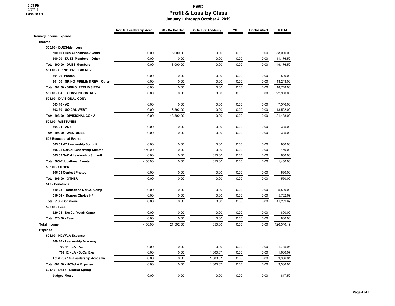**12:08 PM 10/07/19 Cash Basis**

### **FWD Profit & Loss by Class**

 **January 1 through October 4, 2019**

|                                     | NorCal Leadership Acad | SC - So Cal Div | SoCal Ldr Academy | YIH  | Unclassified | <b>TOTAL</b> |
|-------------------------------------|------------------------|-----------------|-------------------|------|--------------|--------------|
| <b>Ordinary Income/Expense</b>      |                        |                 |                   |      |              |              |
| Income                              |                        |                 |                   |      |              |              |
| 500.00 - DUES-Members               |                        |                 |                   |      |              |              |
| 500.10 Dues Allocations-Events      | 0.00                   | 8,000.00        | 0.00              | 0.00 | 0.00         | 38,000.00    |
| 500.00 - DUES-Members - Other       | 0.00                   | 0.00            | 0.00              | 0.00 | 0.00         | 11,176.50    |
| Total 500.00 - DUES-Members         | 0.00                   | 8,000.00        | 0.00              | 0.00 | 0.00         | 49,176.50    |
| 501.00 - SRING PRELIMS REV          |                        |                 |                   |      |              |              |
| 501.06 Photos                       | 0.00                   | 0.00            | 0.00              | 0.00 | 0.00         | 500.00       |
| 501.00 - SRING PRELIMS REV - Other  | 0.00                   | 0.00            | 0.00              | 0.00 | 0.00         | 18.248.00    |
| Total 501.00 - SRING PRELIMS REV    | 0.00                   | 0.00            | 0.00              | 0.00 | 0.00         | 18,748.00    |
| 502.00 - FALL CONVENTION REV        | 0.00                   | 0.00            | 0.00              | 0.00 | 0.00         | 22,950.00    |
| 503.00 - DIVISIONAL CONV            |                        |                 |                   |      |              |              |
| 503.10 - AZ                         | 0.00                   | 0.00            | 0.00              | 0.00 | 0.00         | 7,546.00     |
| 503.30 - SO CAL WEST                | 0.00                   | 13,592.00       | 0.00              | 0.00 | 0.00         | 13,592.00    |
| Total 503.00 - DIVISIONAL CONV      | 0.00                   | 13,592.00       | 0.00              | 0.00 | 0.00         | 21.138.00    |
| <b>504.00 - WESTUNES</b>            |                        |                 |                   |      |              |              |
| 504.01 - ADS                        | 0.00                   | 0.00            | 0.00              | 0.00 | 0.00         | 325.00       |
| Total 504.00 - WESTUNES             | 0.00                   | 0.00            | 0.00              | 0.00 | 0.00         | 325.00       |
| 505-Educational Events              |                        |                 |                   |      |              |              |
| 505.01 AZ Leadership Summit         | 0.00                   | 0.00            | 0.00              | 0.00 | 0.00         | 950.00       |
| 505.02 NorCal Leadership Summit     | $-150.00$              | 0.00            | 0.00              | 0.00 | 0.00         | $-150.00$    |
| 505.03 SoCal Leadership Summit      | 0.00                   | 0.00            | 650.00            | 0.00 | 0.00         | 650.00       |
| <b>Total 505-Educational Events</b> | $-150.00$              | 0.00            | 650.00            | 0.00 | 0.00         | 1,450.00     |
| 506.00 - OTHER                      |                        |                 |                   |      |              |              |
| 506.05 Contest Photos               | 0.00                   | 0.00            | 0.00              | 0.00 | 0.00         | 550.00       |
| <b>Total 506.00 - OTHER</b>         | 0.00                   | 0.00            | 0.00              | 0.00 | 0.00         | 550.00       |
| 510 - Donations                     |                        |                 |                   |      |              |              |
| 510.03 - Donations NorCal Camp      | 0.00                   | 0.00            | 0.00              | 0.00 | 0.00         | 5,500.00     |
| 510.04 - Donors Choice HF           | 0.00                   | 0.00            | 0.00              | 0.00 | 0.00         | 5,702.69     |
| <b>Total 510 - Donations</b>        | 0.00                   | 0.00            | 0.00              | 0.00 | 0.00         | 11,202.69    |
| 520.00 - Fees                       |                        |                 |                   |      |              |              |
| 520.01 - NorCal Youth Camp          | 0.00                   | 0.00            | 0.00              | 0.00 | 0.00         | 800.00       |
| <b>Total 520.00 - Fees</b>          | 0.00                   | 0.00            | 0.00              | 0.00 | 0.00         | 800.00       |
| <b>Total Income</b>                 | $-150.00$              | 21,592.00       | 650.00            | 0.00 | 0.00         | 126,340.19   |
| <b>Expense</b>                      |                        |                 |                   |      |              |              |
| 601.00 - HCW/LA Expense             |                        |                 |                   |      |              |              |
| 709.10 - Leadership Academy         |                        |                 |                   |      |              |              |
| 709.11 - LA - AZ                    | 0.00                   | 0.00            | 0.00              | 0.00 | 0.00         | 1,735.94     |
| 709.12 - LA - SoCal Exp             | 0.00                   | 0.00            | 1,600.07          | 0.00 | 0.00         | 1,600.07     |
| Total 709.10 - Leadership Academy   | 0.00                   | 0.00            | 1,600.07          | 0.00 | 0.00         | 3,336.01     |
| Total 601.00 - HCW/LA Expense       | 0.00                   | 0.00            | 1,600.07          | 0.00 | 0.00         | 3,336.01     |
| 601.10 - DS15 - District Spring     |                        |                 |                   |      |              |              |
| Judges-Meals                        | 0.00                   | 0.00            | 0.00              | 0.00 | 0.00         | 817.50       |
|                                     |                        |                 |                   |      |              |              |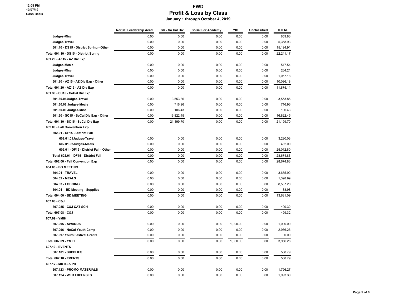|                                         | NorCal Leadership Acad | SC - So Cal Div | SoCal Ldr Academy | YIH      | Unclassified | <b>TOTAL</b> |
|-----------------------------------------|------------------------|-----------------|-------------------|----------|--------------|--------------|
| Judges-Misc                             | 0.00                   | 0.00            | 0.00              | 0.00     | 0.00         | 859.83       |
| <b>Judges Travel</b>                    | 0.00                   | 0.00            | 0.00              | 0.00     | 0.00         | 5,368.93     |
| 601.10 - DS15 - District Spring - Other | 0.00                   | 0.00            | 0.00              | 0.00     | 0.00         | 15, 194.91   |
| Total 601.10 - DS15 - District Spring   | 0.00                   | 0.00            | 0.00              | 0.00     | 0.00         | 22,241.17    |
| 601.20 - AZ15 - AZ Div Exp              |                        |                 |                   |          |              |              |
| Judges-Meals                            | 0.00                   | 0.00            | 0.00              | 0.00     | 0.00         | 517.54       |
| Judges-Misc                             | 0.00                   | 0.00            | 0.00              | 0.00     | 0.00         | 264.21       |
| <b>Judges Travel</b>                    | 0.00                   | 0.00            | 0.00              | 0.00     | 0.00         | 1,057.18     |
| 601.20 - AZ15 - AZ Div Exp - Other      | 0.00                   | 0.00            | 0.00              | 0.00     | 0.00         | 10,036.18    |
| Total 601.20 - AZ15 - AZ Div Exp        | 0.00                   | 0.00            | 0.00              | 0.00     | 0.00         | 11,875.11    |
| 601.30 - SC15 - SoCal Div Exp           |                        |                 |                   |          |              |              |
| 601.30.01Judges-Travel                  | 0.00                   | 3,553.86        | 0.00              | 0.00     | 0.00         | 3,553.86     |
| 601.30.02 Judges-Meals                  | 0.00                   | 716.96          | 0.00              | 0.00     | 0.00         | 716.96       |
| 601.30.03 Judges-Misc.                  | 0.00                   | 106.43          | 0.00              | 0.00     | 0.00         | 106.43       |
| 601.30 - SC15 - SoCal Div Exp - Other   | 0.00                   | 16,822.45       | 0.00              | 0.00     | 0.00         | 16,822.45    |
| Total 601.30 - SC15 - SoCal Div Exp     | 0.00                   | 21,199.70       | 0.00              | 0.00     | 0.00         | 21,199.70    |
| 602.00 - Fall Convention Exp            |                        |                 |                   |          |              |              |
| 602.01 - DF15 - District Fall           |                        |                 |                   |          |              |              |
| 602.01.01Judges-Travel                  | 0.00                   | 0.00            | 0.00              | 0.00     | 0.00         | 3,230.03     |
| 602.01.02Judges-Meals                   | 0.00                   | 0.00            | 0.00              | 0.00     | 0.00         | 432.00       |
| 602.01 - DF15 - District Fall - Other   | 0.00                   | 0.00            | 0.00              | 0.00     | 0.00         | 25,012.80    |
| Total 602.01 - DF15 - District Fall     | 0.00                   | 0.00            | 0.00              | 0.00     | 0.00         | 28.674.83    |
| Total 602.00 - Fall Convention Exp      | 0.00                   | 0.00            | 0.00              | 0.00     | 0.00         | 28,674.83    |
| 604.00 - BD MEETING                     |                        |                 |                   |          |              |              |
| 604.01 - TRAVEL                         | 0.00                   | 0.00            | 0.00              | 0.00     | 0.00         | 3,655.92     |
| 604.02 - MEALS                          | 0.00                   | 0.00            | 0.00              | 0.00     | 0.00         | 1,398.99     |
| 604.03 - LODGING                        | 0.00                   | 0.00            | 0.00              | 0.00     | 0.00         | 8,537.20     |
| 604.04 - BD Meeting - Supplies          | 0.00                   | 0.00            | 0.00              | 0.00     | 0.00         | 38.98        |
| Total 604.00 - BD MEETING               | 0.00                   | 0.00            | 0.00              | 0.00     | 0.00         | 13,631.09    |
| 607.08 - C&J                            |                        |                 |                   |          |              |              |
| 607.085 - C&J CAT SCH                   | 0.00                   | 0.00            | 0.00              | 0.00     | 0.00         | 499.32       |
| Total 607.08 - C&J                      | 0.00                   | 0.00            | 0.00              | 0.00     | 0.00         | 499.32       |
| 607.09 - YMIH                           |                        |                 |                   |          |              |              |
| 607.095 - AWARDS                        | 0.00                   | 0.00            | 0.00              | 1,000.00 | 0.00         | 1,000.00     |
| 607.096 - NoCal Youth Camp              | 0.00                   | 0.00            | 0.00              | 0.00     | 0.00         | 2,956.26     |
| 607.097 Youth Festival Grants           | 0.00                   | 0.00            | 0.00              | 0.00     | 0.00         | 0.00         |
| <b>Total 607.09 - YMIH</b>              | 0.00                   | 0.00            | 0.00              | 1,000.00 | 0.00         | 3,956.26     |
| 607.10 - EVENTS                         |                        |                 |                   |          |              |              |
| 607.101 - SUPPLIES                      | 0.00                   | 0.00            | 0.00              | 0.00     | 0.00         | 568.79       |
| <b>Total 607.10 - EVENTS</b>            | 0.00                   | 0.00            | 0.00              | 0.00     | 0.00         | 568.79       |
| 607.12 - MKTG & PR                      |                        |                 |                   |          |              |              |
| 607.123 - PROMO MATERIALS               | 0.00                   | 0.00            | 0.00              | 0.00     | 0.00         | 1,796.27     |
| 607.124 - WEB EXPENSES                  | 0.00                   | 0.00            | 0.00              | 0.00     | 0.00         | 1,993.30     |